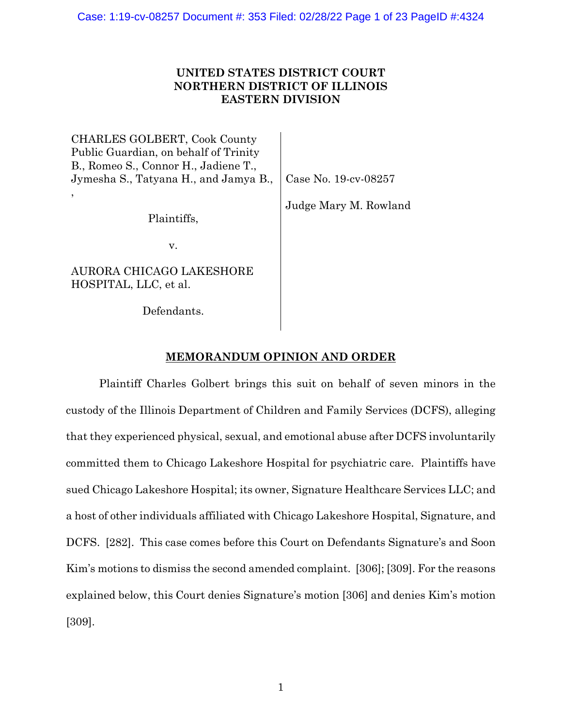# **UNITED STATES DISTRICT COURT NORTHERN DISTRICT OF ILLINOIS EASTERN DIVISION**

CHARLES GOLBERT, Cook County Public Guardian, on behalf of Trinity B., Romeo S., Connor H., Jadiene T., Jymesha S., Tatyana H., and Jamya B., , Plaintiffs, v. AURORA CHICAGO LAKESHORE HOSPITAL, LLC, et al. Defendants. Case No. 19-cv-08257 Judge Mary M. Rowland

# **MEMORANDUM OPINION AND ORDER**

Plaintiff Charles Golbert brings this suit on behalf of seven minors in the custody of the Illinois Department of Children and Family Services (DCFS), alleging that they experienced physical, sexual, and emotional abuse after DCFS involuntarily committed them to Chicago Lakeshore Hospital for psychiatric care. Plaintiffs have sued Chicago Lakeshore Hospital; its owner, Signature Healthcare Services LLC; and a host of other individuals affiliated with Chicago Lakeshore Hospital, Signature, and DCFS. [282]. This case comes before this Court on Defendants Signature's and Soon Kim's motions to dismiss the second amended complaint. [306]; [309]. For the reasons explained below, this Court denies Signature's motion [306] and denies Kim's motion [309].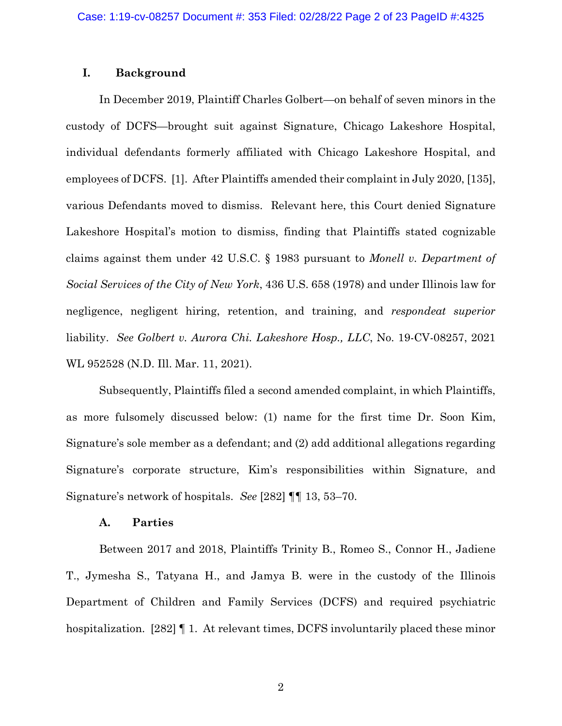# **I. Background**

In December 2019, Plaintiff Charles Golbert—on behalf of seven minors in the custody of DCFS—brought suit against Signature, Chicago Lakeshore Hospital, individual defendants formerly affiliated with Chicago Lakeshore Hospital, and employees of DCFS. [1]. After Plaintiffs amended their complaint in July 2020, [135], various Defendants moved to dismiss. Relevant here, this Court denied Signature Lakeshore Hospital's motion to dismiss, finding that Plaintiffs stated cognizable claims against them under 42 U.S.C. § 1983 pursuant to *Monell v. Department of Social Services of the City of New York*, 436 U.S. 658 (1978) and under Illinois law for negligence, negligent hiring, retention, and training, and *respondeat superior* liability. *See Golbert v. Aurora Chi. Lakeshore Hosp., LLC*, No. 19-CV-08257, 2021 WL 952528 (N.D. Ill. Mar. 11, 2021).

Subsequently, Plaintiffs filed a second amended complaint, in which Plaintiffs, as more fulsomely discussed below: (1) name for the first time Dr. Soon Kim, Signature's sole member as a defendant; and (2) add additional allegations regarding Signature's corporate structure, Kim's responsibilities within Signature, and Signature's network of hospitals. *See* [282] ¶¶ 13, 53–70.

## **A. Parties**

Between 2017 and 2018, Plaintiffs Trinity B., Romeo S., Connor H., Jadiene T., Jymesha S., Tatyana H., and Jamya B. were in the custody of the Illinois Department of Children and Family Services (DCFS) and required psychiatric hospitalization. [282] ¶ 1. At relevant times, DCFS involuntarily placed these minor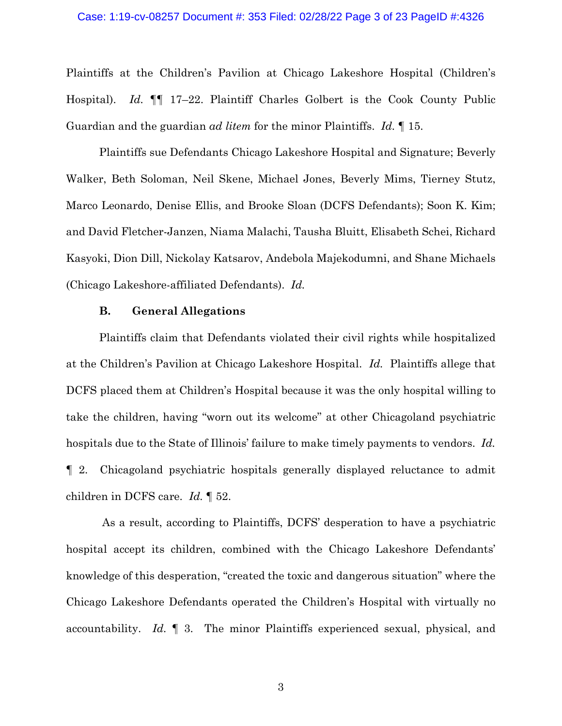Plaintiffs at the Children's Pavilion at Chicago Lakeshore Hospital (Children's Hospital). *Id.* ¶¶ 17–22. Plaintiff Charles Golbert is the Cook County Public Guardian and the guardian *ad litem* for the minor Plaintiffs. *Id.* ¶ 15.

Plaintiffs sue Defendants Chicago Lakeshore Hospital and Signature; Beverly Walker, Beth Soloman, Neil Skene, Michael Jones, Beverly Mims, Tierney Stutz, Marco Leonardo, Denise Ellis, and Brooke Sloan (DCFS Defendants); Soon K. Kim; and David Fletcher-Janzen, Niama Malachi, Tausha Bluitt, Elisabeth Schei, Richard Kasyoki, Dion Dill, Nickolay Katsarov, Andebola Majekodumni, and Shane Michaels (Chicago Lakeshore-affiliated Defendants). *Id.*

### **B. General Allegations**

Plaintiffs claim that Defendants violated their civil rights while hospitalized at the Children's Pavilion at Chicago Lakeshore Hospital. *Id.* Plaintiffs allege that DCFS placed them at Children's Hospital because it was the only hospital willing to take the children, having "worn out its welcome" at other Chicagoland psychiatric hospitals due to the State of Illinois' failure to make timely payments to vendors. *Id.* ¶ 2. Chicagoland psychiatric hospitals generally displayed reluctance to admit children in DCFS care. *Id.* ¶ 52.

As a result, according to Plaintiffs, DCFS' desperation to have a psychiatric hospital accept its children, combined with the Chicago Lakeshore Defendants' knowledge of this desperation, "created the toxic and dangerous situation" where the Chicago Lakeshore Defendants operated the Children's Hospital with virtually no accountability. *Id.* ¶ 3. The minor Plaintiffs experienced sexual, physical, and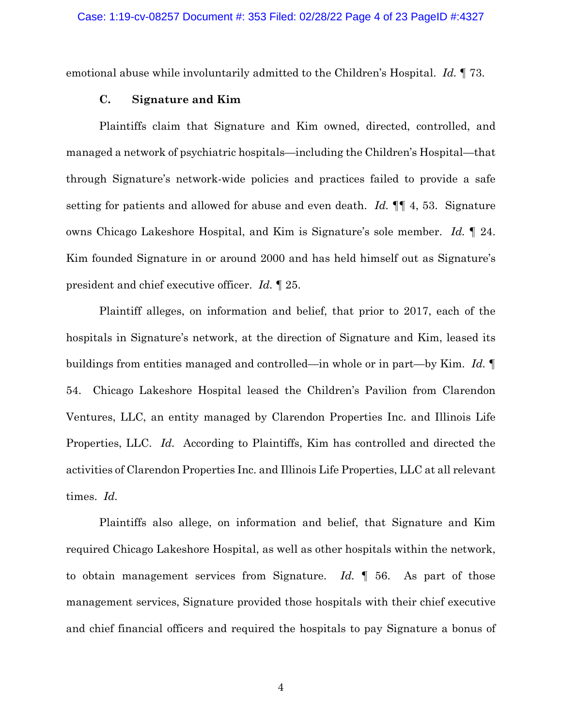emotional abuse while involuntarily admitted to the Children's Hospital. *Id.* ¶ 73.

### **C. Signature and Kim**

Plaintiffs claim that Signature and Kim owned, directed, controlled, and managed a network of psychiatric hospitals—including the Children's Hospital—that through Signature's network-wide policies and practices failed to provide a safe setting for patients and allowed for abuse and even death. *Id.* ¶¶ 4, 53. Signature owns Chicago Lakeshore Hospital, and Kim is Signature's sole member. *Id.* ¶ 24. Kim founded Signature in or around 2000 and has held himself out as Signature's president and chief executive officer. *Id.* ¶ 25.

Plaintiff alleges, on information and belief, that prior to 2017, each of the hospitals in Signature's network, at the direction of Signature and Kim, leased its buildings from entities managed and controlled—in whole or in part—by Kim. *Id.* ¶ 54. Chicago Lakeshore Hospital leased the Children's Pavilion from Clarendon Ventures, LLC, an entity managed by Clarendon Properties Inc. and Illinois Life Properties, LLC. *Id.* According to Plaintiffs, Kim has controlled and directed the activities of Clarendon Properties Inc. and Illinois Life Properties, LLC at all relevant times. *Id.*

Plaintiffs also allege, on information and belief, that Signature and Kim required Chicago Lakeshore Hospital, as well as other hospitals within the network, to obtain management services from Signature. *Id.* ¶ 56. As part of those management services, Signature provided those hospitals with their chief executive and chief financial officers and required the hospitals to pay Signature a bonus of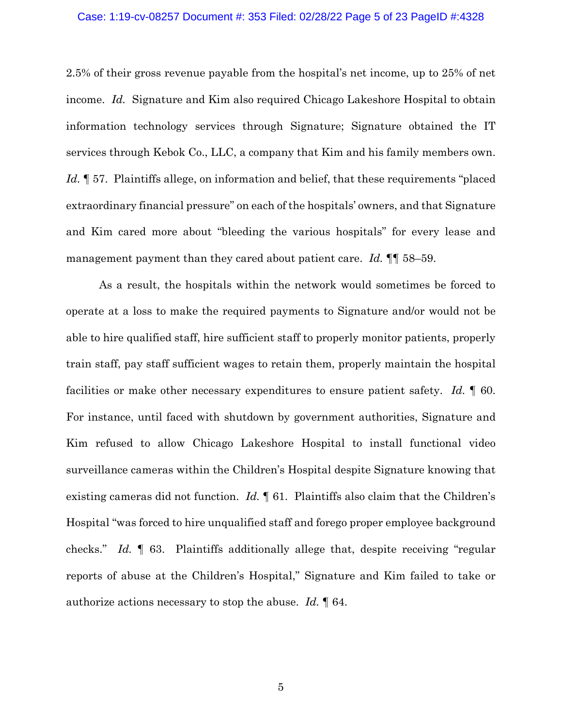#### Case: 1:19-cv-08257 Document #: 353 Filed: 02/28/22 Page 5 of 23 PageID #:4328

2.5% of their gross revenue payable from the hospital's net income, up to 25% of net income. *Id.* Signature and Kim also required Chicago Lakeshore Hospital to obtain information technology services through Signature; Signature obtained the IT services through Kebok Co., LLC, a company that Kim and his family members own. Id.  $\parallel$  57. Plaintiffs allege, on information and belief, that these requirements "placed" extraordinary financial pressure" on each of the hospitals' owners, and that Signature and Kim cared more about "bleeding the various hospitals" for every lease and management payment than they cared about patient care. *Id.* ¶¶ 58–59.

As a result, the hospitals within the network would sometimes be forced to operate at a loss to make the required payments to Signature and/or would not be able to hire qualified staff, hire sufficient staff to properly monitor patients, properly train staff, pay staff sufficient wages to retain them, properly maintain the hospital facilities or make other necessary expenditures to ensure patient safety. *Id.* ¶ 60. For instance, until faced with shutdown by government authorities, Signature and Kim refused to allow Chicago Lakeshore Hospital to install functional video surveillance cameras within the Children's Hospital despite Signature knowing that existing cameras did not function. *Id.* ¶ 61. Plaintiffs also claim that the Children's Hospital "was forced to hire unqualified staff and forego proper employee background checks." *Id.* ¶ 63. Plaintiffs additionally allege that, despite receiving "regular reports of abuse at the Children's Hospital," Signature and Kim failed to take or authorize actions necessary to stop the abuse. *Id.* ¶ 64.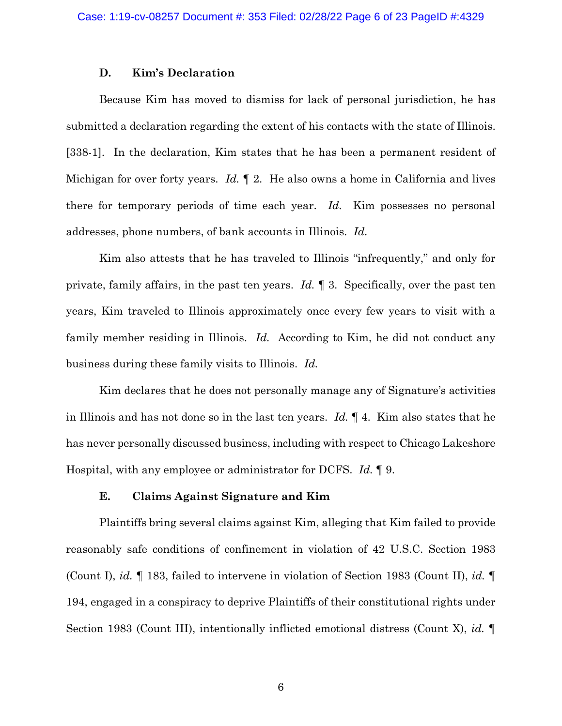### **D. Kim's Declaration**

Because Kim has moved to dismiss for lack of personal jurisdiction, he has submitted a declaration regarding the extent of his contacts with the state of Illinois. [338-1]. In the declaration, Kim states that he has been a permanent resident of Michigan for over forty years. *Id.* ¶ 2. He also owns a home in California and lives there for temporary periods of time each year. *Id.* Kim possesses no personal addresses, phone numbers, of bank accounts in Illinois. *Id.*

Kim also attests that he has traveled to Illinois "infrequently," and only for private, family affairs, in the past ten years. *Id.* ¶ 3. Specifically, over the past ten years, Kim traveled to Illinois approximately once every few years to visit with a family member residing in Illinois. *Id.* According to Kim, he did not conduct any business during these family visits to Illinois. *Id.*

Kim declares that he does not personally manage any of Signature's activities in Illinois and has not done so in the last ten years. *Id.* ¶ 4. Kim also states that he has never personally discussed business, including with respect to Chicago Lakeshore Hospital, with any employee or administrator for DCFS. *Id.* ¶ 9.

## **E. Claims Against Signature and Kim**

Plaintiffs bring several claims against Kim, alleging that Kim failed to provide reasonably safe conditions of confinement in violation of 42 U.S.C. Section 1983 (Count I), *id.* ¶ 183, failed to intervene in violation of Section 1983 (Count II), *id.* ¶ 194, engaged in a conspiracy to deprive Plaintiffs of their constitutional rights under Section 1983 (Count III), intentionally inflicted emotional distress (Count X), *id.* ¶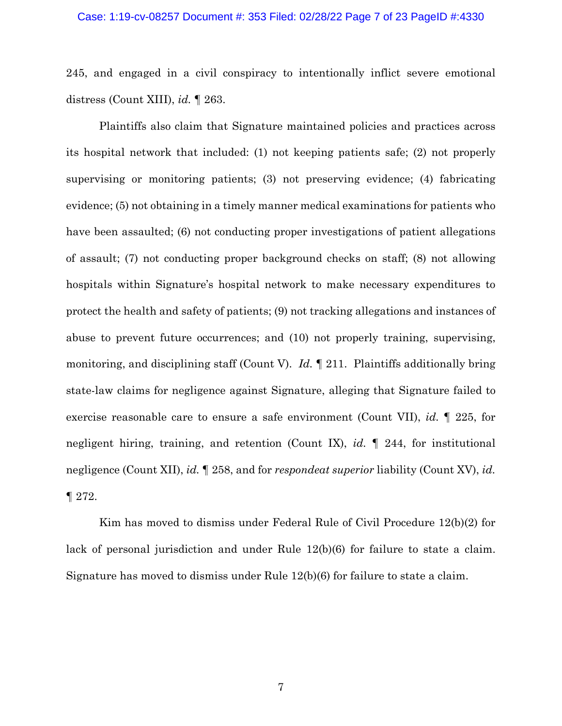### Case: 1:19-cv-08257 Document #: 353 Filed: 02/28/22 Page 7 of 23 PageID #:4330

245, and engaged in a civil conspiracy to intentionally inflict severe emotional distress (Count XIII), *id.* ¶ 263.

Plaintiffs also claim that Signature maintained policies and practices across its hospital network that included: (1) not keeping patients safe; (2) not properly supervising or monitoring patients; (3) not preserving evidence; (4) fabricating evidence; (5) not obtaining in a timely manner medical examinations for patients who have been assaulted; (6) not conducting proper investigations of patient allegations of assault; (7) not conducting proper background checks on staff; (8) not allowing hospitals within Signature's hospital network to make necessary expenditures to protect the health and safety of patients; (9) not tracking allegations and instances of abuse to prevent future occurrences; and (10) not properly training, supervising, monitoring, and disciplining staff (Count V). *Id.* ¶ 211. Plaintiffs additionally bring state-law claims for negligence against Signature, alleging that Signature failed to exercise reasonable care to ensure a safe environment (Count VII), *id.* ¶ 225, for negligent hiring, training, and retention (Count IX), *id.* ¶ 244, for institutional negligence (Count XII), *id.* ¶ 258, and for *respondeat superior* liability (Count XV), *id.* ¶ 272.

Kim has moved to dismiss under Federal Rule of Civil Procedure 12(b)(2) for lack of personal jurisdiction and under Rule 12(b)(6) for failure to state a claim. Signature has moved to dismiss under Rule 12(b)(6) for failure to state a claim.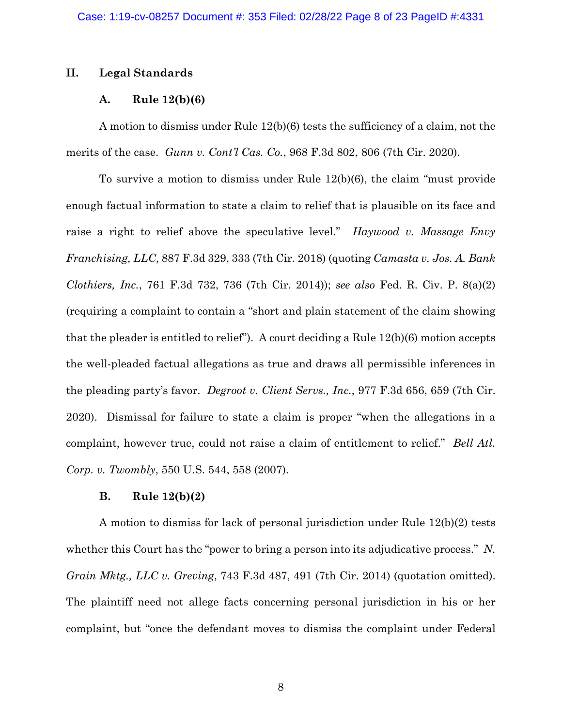# **II. Legal Standards**

# **A. Rule 12(b)(6)**

A motion to dismiss under Rule 12(b)(6) tests the sufficiency of a claim, not the merits of the case. *Gunn v. Cont'l Cas. Co.*, 968 F.3d 802, 806 (7th Cir. 2020).

To survive a motion to dismiss under Rule 12(b)(6), the claim "must provide enough factual information to state a claim to relief that is plausible on its face and raise a right to relief above the speculative level." *Haywood v. Massage Envy Franchising, LLC*, 887 F.3d 329, 333 (7th Cir. 2018) (quoting *Camasta v. Jos. A. Bank Clothiers, Inc.*, 761 F.3d 732, 736 (7th Cir. 2014)); *see also* Fed. R. Civ. P. 8(a)(2) (requiring a complaint to contain a "short and plain statement of the claim showing that the pleader is entitled to relief"). A court deciding a Rule 12(b)(6) motion accepts the well-pleaded factual allegations as true and draws all permissible inferences in the pleading party's favor. *Degroot v. Client Servs., Inc.*, 977 F.3d 656, 659 (7th Cir. 2020). Dismissal for failure to state a claim is proper "when the allegations in a complaint, however true, could not raise a claim of entitlement to relief." *Bell Atl. Corp. v. Twombly*, 550 U.S. 544, 558 (2007).

## **B. Rule 12(b)(2)**

A motion to dismiss for lack of personal jurisdiction under Rule 12(b)(2) tests whether this Court has the "power to bring a person into its adjudicative process." *N. Grain Mktg., LLC v. Greving*, 743 F.3d 487, 491 (7th Cir. 2014) (quotation omitted). The plaintiff need not allege facts concerning personal jurisdiction in his or her complaint, but "once the defendant moves to dismiss the complaint under Federal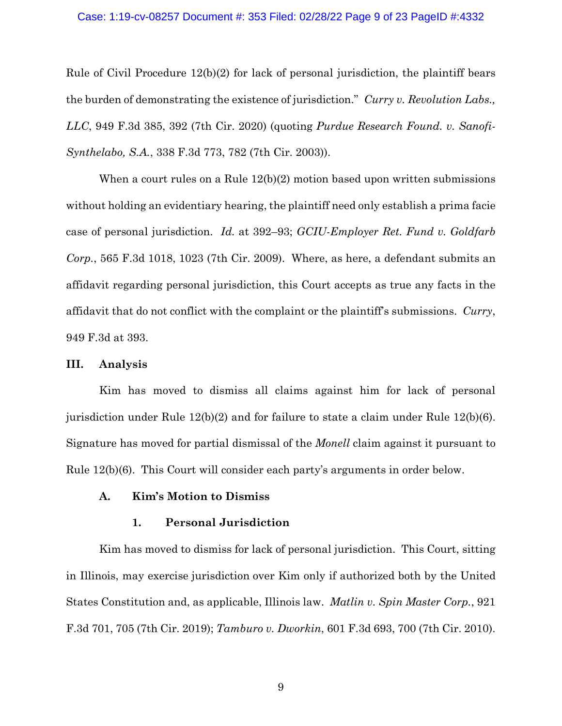#### Case: 1:19-cv-08257 Document #: 353 Filed: 02/28/22 Page 9 of 23 PageID #:4332

Rule of Civil Procedure 12(b)(2) for lack of personal jurisdiction, the plaintiff bears the burden of demonstrating the existence of jurisdiction." *Curry v. Revolution Labs., LLC*, 949 F.3d 385, 392 (7th Cir. 2020) (quoting *Purdue Research Found. v. Sanofi-Synthelabo, S.A.*, 338 F.3d 773, 782 (7th Cir. 2003)).

When a court rules on a Rule  $12(b)(2)$  motion based upon written submissions without holding an evidentiary hearing, the plaintiff need only establish a prima facie case of personal jurisdiction. *Id.* at 392–93; *GCIU-Employer Ret. Fund v. Goldfarb Corp.*, 565 F.3d 1018, 1023 (7th Cir. 2009). Where, as here, a defendant submits an affidavit regarding personal jurisdiction, this Court accepts as true any facts in the affidavit that do not conflict with the complaint or the plaintiff's submissions. *Curry*, 949 F.3d at 393.

### **III. Analysis**

Kim has moved to dismiss all claims against him for lack of personal jurisdiction under Rule 12(b)(2) and for failure to state a claim under Rule 12(b)(6). Signature has moved for partial dismissal of the *Monell* claim against it pursuant to Rule 12(b)(6). This Court will consider each party's arguments in order below.

### **A. Kim's Motion to Dismiss**

### **1. Personal Jurisdiction**

Kim has moved to dismiss for lack of personal jurisdiction. This Court, sitting in Illinois, may exercise jurisdiction over Kim only if authorized both by the United States Constitution and, as applicable, Illinois law. *Matlin v. Spin Master Corp.*, 921 F.3d 701, 705 (7th Cir. 2019); *Tamburo v. Dworkin*, 601 F.3d 693, 700 (7th Cir. 2010).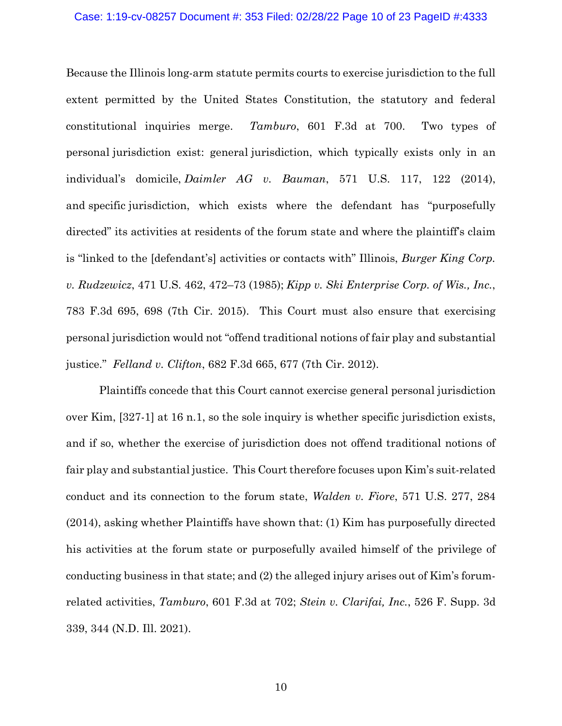#### Case: 1:19-cv-08257 Document #: 353 Filed: 02/28/22 Page 10 of 23 PageID #:4333

Because the Illinois long-arm statute permits courts to exercise jurisdiction to the full extent permitted by the United States Constitution, the statutory and federal constitutional inquiries merge. *Tamburo*, 601 F.3d at 700. Two types of personal jurisdiction exist: general jurisdiction, which typically exists only in an individual's domicile, *Daimler AG v. Bauman*, 571 U.S. 117, 122 (2014), and specific jurisdiction, which exists where the defendant has "purposefully directed" its activities at residents of the forum state and where the plaintiff's claim is "linked to the [defendant's] activities or contacts with" Illinois, *Burger King Corp. v. Rudzewicz*, 471 U.S. 462, 472–73 (1985); *Kipp v. Ski Enterprise Corp. of Wis., Inc.*, 783 F.3d 695, 698 (7th Cir. 2015). This Court must also ensure that exercising personal jurisdiction would not "offend traditional notions of fair play and substantial justice." *Felland v. Clifton*, 682 F.3d 665, 677 (7th Cir. 2012).

Plaintiffs concede that this Court cannot exercise general personal jurisdiction over Kim, [327-1] at 16 n.1, so the sole inquiry is whether specific jurisdiction exists, and if so, whether the exercise of jurisdiction does not offend traditional notions of fair play and substantial justice. This Court therefore focuses upon Kim's suit-related conduct and its connection to the forum state, *Walden v. Fiore*, 571 U.S. 277, 284 (2014), asking whether Plaintiffs have shown that: (1) Kim has purposefully directed his activities at the forum state or purposefully availed himself of the privilege of conducting business in that state; and (2) the alleged injury arises out of Kim's forumrelated activities, *Tamburo*, 601 F.3d at 702; *Stein v. Clarifai, Inc.*, 526 F. Supp. 3d 339, 344 (N.D. Ill. 2021).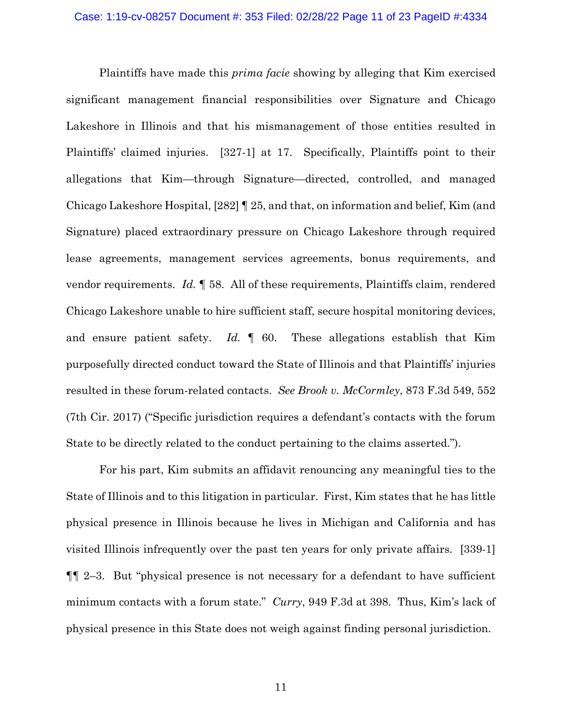Plaintiffs have made this *prima facie* showing by alleging that Kim exercised significant management financial responsibilities over Signature and Chicago Lakeshore in Illinois and that his mismanagement of those entities resulted in Plaintiffs' claimed injuries. [327-1] at 17. Specifically, Plaintiffs point to their allegations that Kim—through Signature—directed, controlled, and managed Chicago Lakeshore Hospital, [282] ¶ 25, and that, on information and belief, Kim (and Signature) placed extraordinary pressure on Chicago Lakeshore through required lease agreements, management services agreements, bonus requirements, and vendor requirements. *Id.* ¶ 58. All of these requirements, Plaintiffs claim, rendered Chicago Lakeshore unable to hire sufficient staff, secure hospital monitoring devices, and ensure patient safety. *Id.* ¶ 60. These allegations establish that Kim purposefully directed conduct toward the State of Illinois and that Plaintiffs' injuries resulted in these forum-related contacts. *See Brook v. McCormley*, 873 F.3d 549, 552 (7th Cir. 2017) ("Specific jurisdiction requires a defendant's contacts with the forum State to be directly related to the conduct pertaining to the claims asserted.").

For his part, Kim submits an affidavit renouncing any meaningful ties to the State of Illinois and to this litigation in particular. First, Kim states that he has little physical presence in Illinois because he lives in Michigan and California and has visited Illinois infrequently over the past ten years for only private affairs. [339-1] ¶¶ 2–3. But "physical presence is not necessary for a defendant to have sufficient minimum contacts with a forum state." *Curry*, 949 F.3d at 398. Thus, Kim's lack of physical presence in this State does not weigh against finding personal jurisdiction.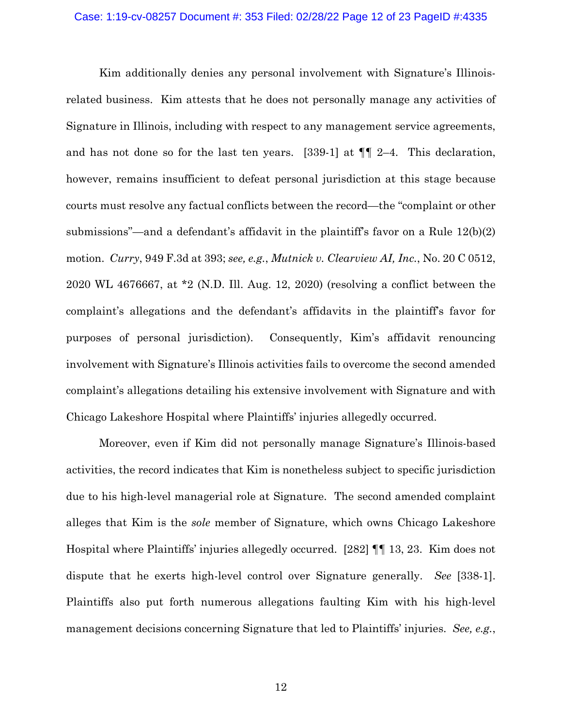Kim additionally denies any personal involvement with Signature's Illinoisrelated business. Kim attests that he does not personally manage any activities of Signature in Illinois, including with respect to any management service agreements, and has not done so for the last ten years. [339-1] at ¶¶ 2–4. This declaration, however, remains insufficient to defeat personal jurisdiction at this stage because courts must resolve any factual conflicts between the record—the "complaint or other submissions"—and a defendant's affidavit in the plaintiff's favor on a Rule 12(b)(2) motion. *Curry*, 949 F.3d at 393; *see, e.g.*, *Mutnick v. Clearview AI, Inc.*, No. 20 C 0512, 2020 WL 4676667, at \*2 (N.D. Ill. Aug. 12, 2020) (resolving a conflict between the complaint's allegations and the defendant's affidavits in the plaintiff's favor for purposes of personal jurisdiction). Consequently, Kim's affidavit renouncing involvement with Signature's Illinois activities fails to overcome the second amended complaint's allegations detailing his extensive involvement with Signature and with Chicago Lakeshore Hospital where Plaintiffs' injuries allegedly occurred.

Moreover, even if Kim did not personally manage Signature's Illinois-based activities, the record indicates that Kim is nonetheless subject to specific jurisdiction due to his high-level managerial role at Signature. The second amended complaint alleges that Kim is the *sole* member of Signature, which owns Chicago Lakeshore Hospital where Plaintiffs' injuries allegedly occurred. [282] ¶¶ 13, 23. Kim does not dispute that he exerts high-level control over Signature generally. *See* [338-1]. Plaintiffs also put forth numerous allegations faulting Kim with his high-level management decisions concerning Signature that led to Plaintiffs' injuries. *See, e.g.*,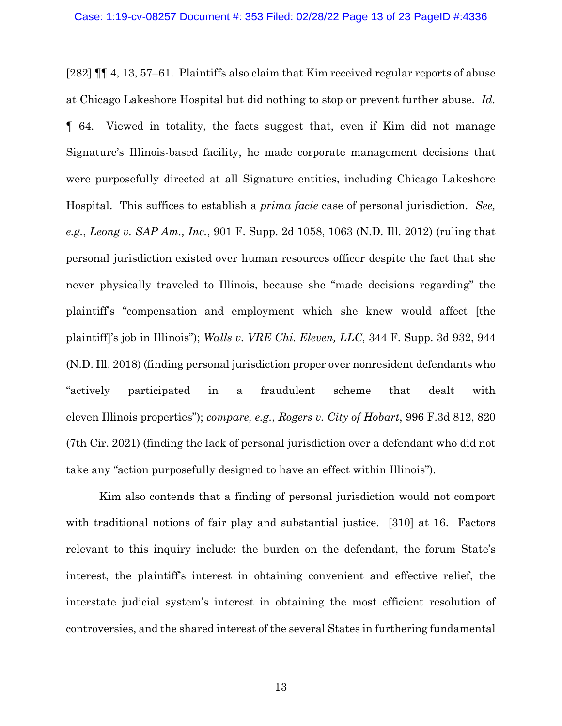[282] ¶¶ 4, 13, 57–61. Plaintiffs also claim that Kim received regular reports of abuse at Chicago Lakeshore Hospital but did nothing to stop or prevent further abuse. *Id.* ¶ 64. Viewed in totality, the facts suggest that, even if Kim did not manage Signature's Illinois-based facility, he made corporate management decisions that were purposefully directed at all Signature entities, including Chicago Lakeshore Hospital. This suffices to establish a *prima facie* case of personal jurisdiction. *See, e.g.*, *Leong v. SAP Am., Inc.*, 901 F. Supp. 2d 1058, 1063 (N.D. Ill. 2012) (ruling that personal jurisdiction existed over human resources officer despite the fact that she never physically traveled to Illinois, because she "made decisions regarding" the plaintiff's "compensation and employment which she knew would affect [the plaintiff]'s job in Illinois"); *Walls v. VRE Chi. Eleven, LLC*, 344 F. Supp. 3d 932, 944 (N.D. Ill. 2018) (finding personal jurisdiction proper over nonresident defendants who "actively participated in a fraudulent scheme that dealt with eleven Illinois properties"); *compare, e.g.*, *Rogers v. City of Hobart*, 996 F.3d 812, 820 (7th Cir. 2021) (finding the lack of personal jurisdiction over a defendant who did not take any "action purposefully designed to have an effect within Illinois").

Kim also contends that a finding of personal jurisdiction would not comport with traditional notions of fair play and substantial justice. [310] at 16. Factors relevant to this inquiry include: the burden on the defendant, the forum State's interest, the plaintiff's interest in obtaining convenient and effective relief, the interstate judicial system's interest in obtaining the most efficient resolution of controversies, and the shared interest of the several States in furthering fundamental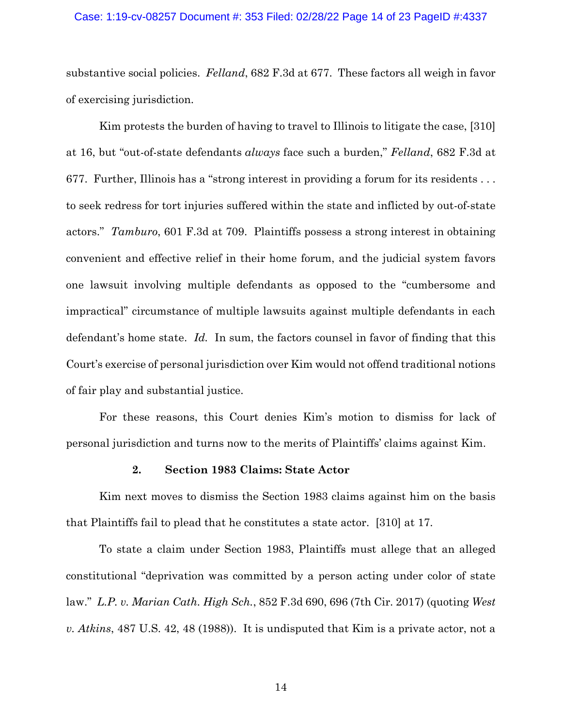#### Case: 1:19-cv-08257 Document #: 353 Filed: 02/28/22 Page 14 of 23 PageID #:4337

substantive social policies. *Felland*, 682 F.3d at 677. These factors all weigh in favor of exercising jurisdiction.

Kim protests the burden of having to travel to Illinois to litigate the case, [310] at 16, but "out-of-state defendants *always* face such a burden," *Felland*, 682 F.3d at 677. Further, Illinois has a "strong interest in providing a forum for its residents . . . to seek redress for tort injuries suffered within the state and inflicted by out-of-state actors." *Tamburo*, 601 F.3d at 709. Plaintiffs possess a strong interest in obtaining convenient and effective relief in their home forum, and the judicial system favors one lawsuit involving multiple defendants as opposed to the "cumbersome and impractical" circumstance of multiple lawsuits against multiple defendants in each defendant's home state. *Id.* In sum, the factors counsel in favor of finding that this Court's exercise of personal jurisdiction over Kim would not offend traditional notions of fair play and substantial justice.

For these reasons, this Court denies Kim's motion to dismiss for lack of personal jurisdiction and turns now to the merits of Plaintiffs' claims against Kim.

## **2. Section 1983 Claims: State Actor**

Kim next moves to dismiss the Section 1983 claims against him on the basis that Plaintiffs fail to plead that he constitutes a state actor. [310] at 17.

To state a claim under Section 1983, Plaintiffs must allege that an alleged constitutional "deprivation was committed by a person acting under color of state law." *L.P. v. Marian Cath. High Sch.*, 852 F.3d 690, 696 (7th Cir. 2017) (quoting *West v. Atkins*, 487 U.S. 42, 48 (1988)). It is undisputed that Kim is a private actor, not a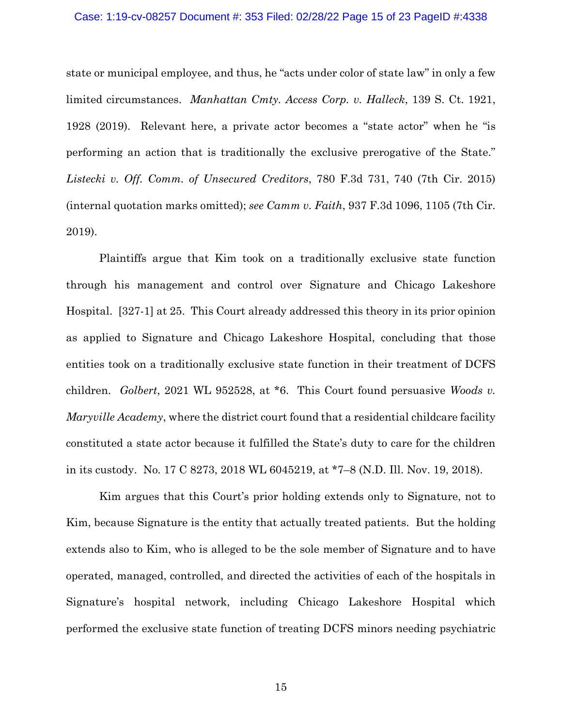## Case: 1:19-cv-08257 Document #: 353 Filed: 02/28/22 Page 15 of 23 PageID #:4338

state or municipal employee, and thus, he "acts under color of state law" in only a few limited circumstances. *Manhattan Cmty. Access Corp. v. Halleck*, 139 S. Ct. 1921, 1928 (2019). Relevant here, a private actor becomes a "state actor" when he "is performing an action that is traditionally the exclusive prerogative of the State." *Listecki v. Off. Comm. of Unsecured Creditors*, 780 F.3d 731, 740 (7th Cir. 2015) (internal quotation marks omitted); *see Camm v. Faith*, 937 F.3d 1096, 1105 (7th Cir. 2019).

Plaintiffs argue that Kim took on a traditionally exclusive state function through his management and control over Signature and Chicago Lakeshore Hospital. [327-1] at 25. This Court already addressed this theory in its prior opinion as applied to Signature and Chicago Lakeshore Hospital, concluding that those entities took on a traditionally exclusive state function in their treatment of DCFS children. *Golbert*, 2021 WL 952528, at \*6. This Court found persuasive *Woods v. Maryville Academy*, where the district court found that a residential childcare facility constituted a state actor because it fulfilled the State's duty to care for the children in its custody. No. 17 C 8273, 2018 WL 6045219, at \*7–8 (N.D. Ill. Nov. 19, 2018).

Kim argues that this Court's prior holding extends only to Signature, not to Kim, because Signature is the entity that actually treated patients. But the holding extends also to Kim, who is alleged to be the sole member of Signature and to have operated, managed, controlled, and directed the activities of each of the hospitals in Signature's hospital network, including Chicago Lakeshore Hospital which performed the exclusive state function of treating DCFS minors needing psychiatric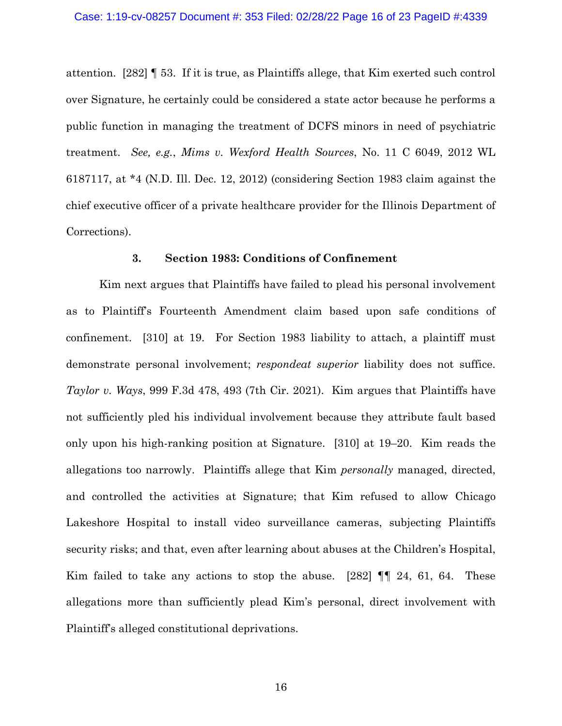attention. [282] ¶ 53. If it is true, as Plaintiffs allege, that Kim exerted such control over Signature, he certainly could be considered a state actor because he performs a public function in managing the treatment of DCFS minors in need of psychiatric treatment. *See, e.g.*, *Mims v. Wexford Health Sources*, No. 11 C 6049, 2012 WL 6187117, at \*4 (N.D. Ill. Dec. 12, 2012) (considering Section 1983 claim against the chief executive officer of a private healthcare provider for the Illinois Department of Corrections).

## **3. Section 1983: Conditions of Confinement**

Kim next argues that Plaintiffs have failed to plead his personal involvement as to Plaintiff's Fourteenth Amendment claim based upon safe conditions of confinement. [310] at 19. For Section 1983 liability to attach, a plaintiff must demonstrate personal involvement; *respondeat superior* liability does not suffice. *Taylor v. Ways*, 999 F.3d 478, 493 (7th Cir. 2021). Kim argues that Plaintiffs have not sufficiently pled his individual involvement because they attribute fault based only upon his high-ranking position at Signature. [310] at 19–20. Kim reads the allegations too narrowly. Plaintiffs allege that Kim *personally* managed, directed, and controlled the activities at Signature; that Kim refused to allow Chicago Lakeshore Hospital to install video surveillance cameras, subjecting Plaintiffs security risks; and that, even after learning about abuses at the Children's Hospital, Kim failed to take any actions to stop the abuse.  $[282]$   $\P$   $[24, 61, 64$ . These allegations more than sufficiently plead Kim's personal, direct involvement with Plaintiff's alleged constitutional deprivations.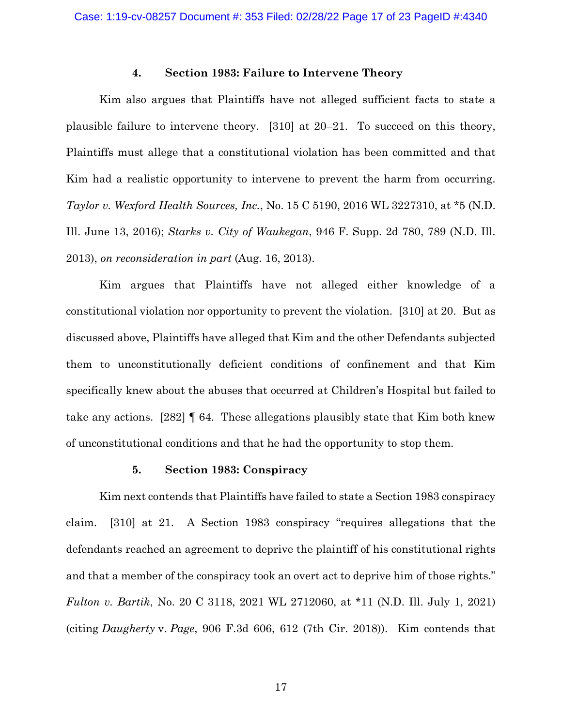### **4. Section 1983: Failure to Intervene Theory**

Kim also argues that Plaintiffs have not alleged sufficient facts to state a plausible failure to intervene theory. [310] at 20–21. To succeed on this theory, Plaintiffs must allege that a constitutional violation has been committed and that Kim had a realistic opportunity to intervene to prevent the harm from occurring. *Taylor v. Wexford Health Sources, Inc.*, No. 15 C 5190, 2016 WL 3227310, at \*5 (N.D. Ill. June 13, 2016); *Starks v. City of Waukegan*, 946 F. Supp. 2d 780, 789 (N.D. Ill. 2013), *on reconsideration in part* (Aug. 16, 2013).

Kim argues that Plaintiffs have not alleged either knowledge of a constitutional violation nor opportunity to prevent the violation. [310] at 20. But as discussed above, Plaintiffs have alleged that Kim and the other Defendants subjected them to unconstitutionally deficient conditions of confinement and that Kim specifically knew about the abuses that occurred at Children's Hospital but failed to take any actions. [282] ¶ 64. These allegations plausibly state that Kim both knew of unconstitutional conditions and that he had the opportunity to stop them.

## **5. Section 1983: Conspiracy**

Kim next contends that Plaintiffs have failed to state a Section 1983 conspiracy claim. [310] at 21. A Section 1983 conspiracy "requires allegations that the defendants reached an agreement to deprive the plaintiff of his constitutional rights and that a member of the conspiracy took an overt act to deprive him of those rights." *Fulton v. Bartik*, No. 20 C 3118, 2021 WL 2712060, at \*11 (N.D. Ill. July 1, 2021) (citing *Daugherty* v. *Page*, 906 F.3d 606, 612 (7th Cir. 2018)). Kim contends that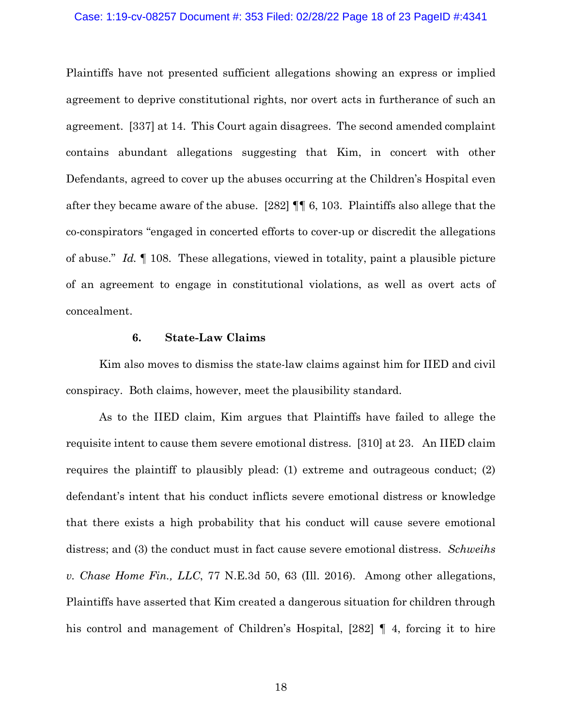## Case: 1:19-cv-08257 Document #: 353 Filed: 02/28/22 Page 18 of 23 PageID #:4341

Plaintiffs have not presented sufficient allegations showing an express or implied agreement to deprive constitutional rights, nor overt acts in furtherance of such an agreement. [337] at 14. This Court again disagrees. The second amended complaint contains abundant allegations suggesting that Kim, in concert with other Defendants, agreed to cover up the abuses occurring at the Children's Hospital even after they became aware of the abuse. [282] ¶¶ 6, 103. Plaintiffs also allege that the co-conspirators "engaged in concerted efforts to cover-up or discredit the allegations of abuse." *Id.* ¶ 108. These allegations, viewed in totality, paint a plausible picture of an agreement to engage in constitutional violations, as well as overt acts of concealment.

## **6. State-Law Claims**

Kim also moves to dismiss the state-law claims against him for IIED and civil conspiracy. Both claims, however, meet the plausibility standard.

As to the IIED claim, Kim argues that Plaintiffs have failed to allege the requisite intent to cause them severe emotional distress. [310] at 23. An IIED claim requires the plaintiff to plausibly plead: (1) extreme and outrageous conduct; (2) defendant's intent that his conduct inflicts severe emotional distress or knowledge that there exists a high probability that his conduct will cause severe emotional distress; and (3) the conduct must in fact cause severe emotional distress. *Schweihs v. Chase Home Fin., LLC*, 77 N.E.3d 50, 63 (Ill. 2016). Among other allegations, Plaintiffs have asserted that Kim created a dangerous situation for children through his control and management of Children's Hospital, [282]  $\parallel$  4, forcing it to hire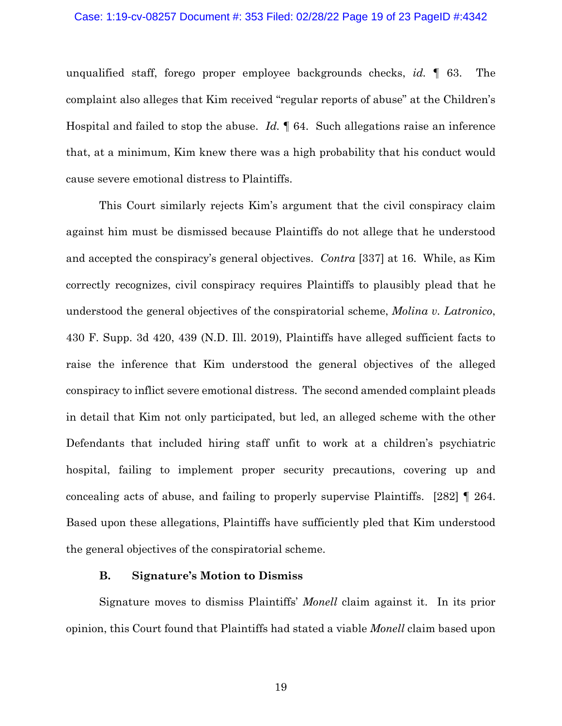#### Case: 1:19-cv-08257 Document #: 353 Filed: 02/28/22 Page 19 of 23 PageID #:4342

unqualified staff, forego proper employee backgrounds checks, *id.* ¶ 63. The complaint also alleges that Kim received "regular reports of abuse" at the Children's Hospital and failed to stop the abuse. *Id.* ¶ 64. Such allegations raise an inference that, at a minimum, Kim knew there was a high probability that his conduct would cause severe emotional distress to Plaintiffs.

This Court similarly rejects Kim's argument that the civil conspiracy claim against him must be dismissed because Plaintiffs do not allege that he understood and accepted the conspiracy's general objectives. *Contra* [337] at 16. While, as Kim correctly recognizes, civil conspiracy requires Plaintiffs to plausibly plead that he understood the general objectives of the conspiratorial scheme, *Molina v. Latronico*, 430 F. Supp. 3d 420, 439 (N.D. Ill. 2019), Plaintiffs have alleged sufficient facts to raise the inference that Kim understood the general objectives of the alleged conspiracy to inflict severe emotional distress. The second amended complaint pleads in detail that Kim not only participated, but led, an alleged scheme with the other Defendants that included hiring staff unfit to work at a children's psychiatric hospital, failing to implement proper security precautions, covering up and concealing acts of abuse, and failing to properly supervise Plaintiffs. [282] ¶ 264. Based upon these allegations, Plaintiffs have sufficiently pled that Kim understood the general objectives of the conspiratorial scheme.

## **B. Signature's Motion to Dismiss**

Signature moves to dismiss Plaintiffs' *Monell* claim against it. In its prior opinion, this Court found that Plaintiffs had stated a viable *Monell* claim based upon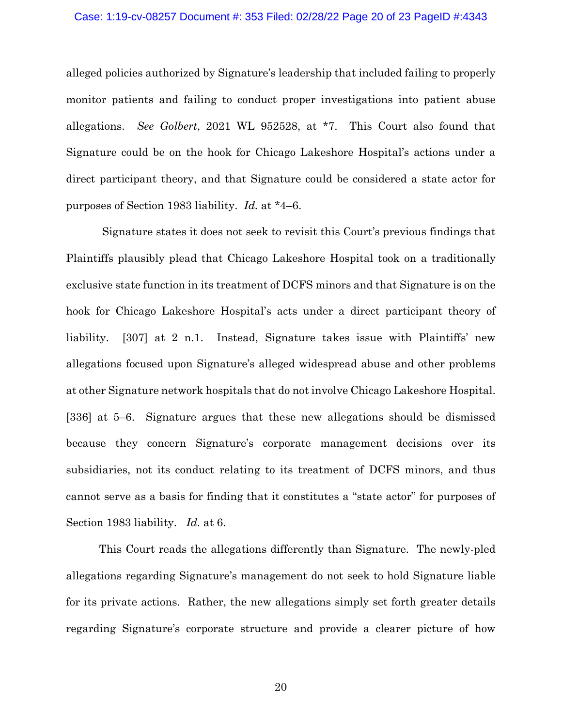## Case: 1:19-cv-08257 Document #: 353 Filed: 02/28/22 Page 20 of 23 PageID #:4343

alleged policies authorized by Signature's leadership that included failing to properly monitor patients and failing to conduct proper investigations into patient abuse allegations. *See Golbert*, 2021 WL 952528, at \*7. This Court also found that Signature could be on the hook for Chicago Lakeshore Hospital's actions under a direct participant theory, and that Signature could be considered a state actor for purposes of Section 1983 liability. *Id.* at \*4–6.

Signature states it does not seek to revisit this Court's previous findings that Plaintiffs plausibly plead that Chicago Lakeshore Hospital took on a traditionally exclusive state function in its treatment of DCFS minors and that Signature is on the hook for Chicago Lakeshore Hospital's acts under a direct participant theory of liability. [307] at 2 n.1. Instead, Signature takes issue with Plaintiffs' new allegations focused upon Signature's alleged widespread abuse and other problems at other Signature network hospitals that do not involve Chicago Lakeshore Hospital. [336] at 5–6. Signature argues that these new allegations should be dismissed because they concern Signature's corporate management decisions over its subsidiaries, not its conduct relating to its treatment of DCFS minors, and thus cannot serve as a basis for finding that it constitutes a "state actor" for purposes of Section 1983 liability. *Id.* at 6.

This Court reads the allegations differently than Signature. The newly-pled allegations regarding Signature's management do not seek to hold Signature liable for its private actions. Rather, the new allegations simply set forth greater details regarding Signature's corporate structure and provide a clearer picture of how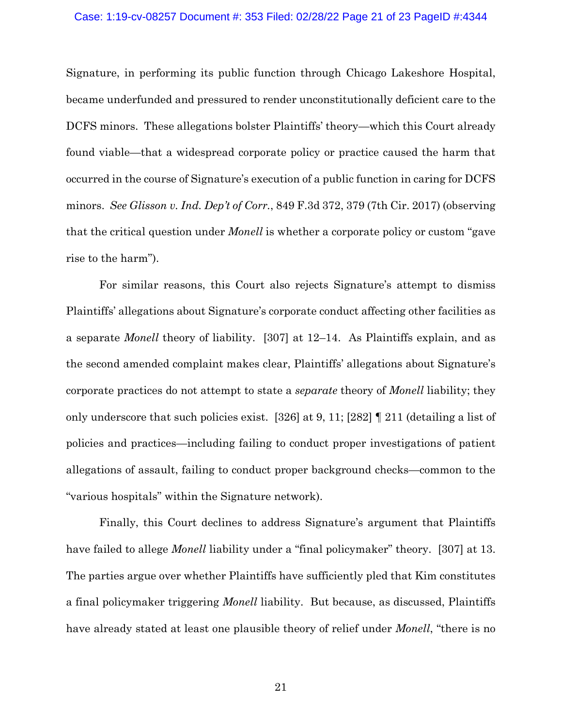## Case: 1:19-cv-08257 Document #: 353 Filed: 02/28/22 Page 21 of 23 PageID #:4344

Signature, in performing its public function through Chicago Lakeshore Hospital, became underfunded and pressured to render unconstitutionally deficient care to the DCFS minors. These allegations bolster Plaintiffs' theory—which this Court already found viable—that a widespread corporate policy or practice caused the harm that occurred in the course of Signature's execution of a public function in caring for DCFS minors. *See Glisson v. Ind. Dep't of Corr.*, 849 F.3d 372, 379 (7th Cir. 2017) (observing that the critical question under *Monell* is whether a corporate policy or custom "gave rise to the harm").

For similar reasons, this Court also rejects Signature's attempt to dismiss Plaintiffs' allegations about Signature's corporate conduct affecting other facilities as a separate *Monell* theory of liability. [307] at 12–14. As Plaintiffs explain, and as the second amended complaint makes clear, Plaintiffs' allegations about Signature's corporate practices do not attempt to state a *separate* theory of *Monell* liability; they only underscore that such policies exist. [326] at 9, 11; [282] ¶ 211 (detailing a list of policies and practices—including failing to conduct proper investigations of patient allegations of assault, failing to conduct proper background checks—common to the "various hospitals" within the Signature network).

Finally, this Court declines to address Signature's argument that Plaintiffs have failed to allege *Monell* liability under a "final policymaker" theory. [307] at 13. The parties argue over whether Plaintiffs have sufficiently pled that Kim constitutes a final policymaker triggering *Monell* liability. But because, as discussed, Plaintiffs have already stated at least one plausible theory of relief under *Monell*, "there is no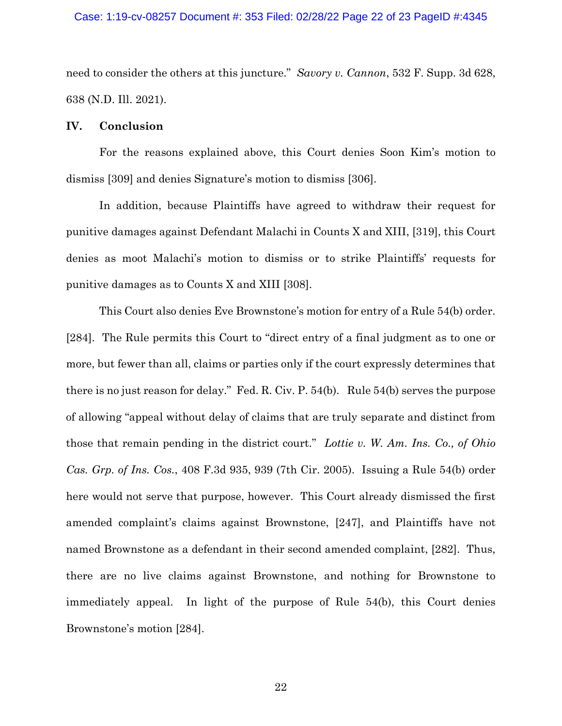#### Case: 1:19-cv-08257 Document #: 353 Filed: 02/28/22 Page 22 of 23 PageID #:4345

need to consider the others at this juncture." *Savory v. Cannon*, 532 F. Supp. 3d 628, 638 (N.D. Ill. 2021).

## **IV. Conclusion**

For the reasons explained above, this Court denies Soon Kim's motion to dismiss [309] and denies Signature's motion to dismiss [306].

In addition, because Plaintiffs have agreed to withdraw their request for punitive damages against Defendant Malachi in Counts X and XIII, [319], this Court denies as moot Malachi's motion to dismiss or to strike Plaintiffs' requests for punitive damages as to Counts X and XIII [308].

This Court also denies Eve Brownstone's motion for entry of a Rule 54(b) order. [284]. The Rule permits this Court to "direct entry of a final judgment as to one or more, but fewer than all, claims or parties only if the court expressly determines that there is no just reason for delay." Fed. R. Civ. P. 54(b). Rule 54(b) serves the purpose of allowing "appeal without delay of claims that are truly separate and distinct from those that remain pending in the district court." *Lottie v. W. Am. Ins. Co., of Ohio Cas. Grp. of Ins. Cos.*, 408 F.3d 935, 939 (7th Cir. 2005). Issuing a Rule 54(b) order here would not serve that purpose, however. This Court already dismissed the first amended complaint's claims against Brownstone, [247], and Plaintiffs have not named Brownstone as a defendant in their second amended complaint, [282]. Thus, there are no live claims against Brownstone, and nothing for Brownstone to immediately appeal. In light of the purpose of Rule 54(b), this Court denies Brownstone's motion [284].